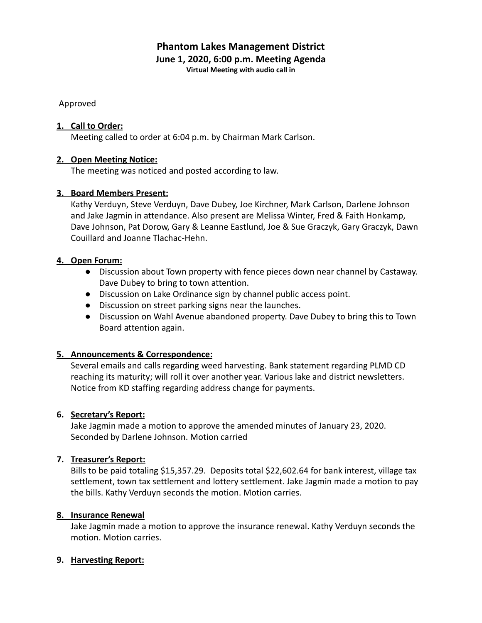# **Phantom Lakes Management District June 1, 2020, 6:00 p.m. Meeting Agenda**

**Virtual Meeting with audio call in**

Approved

## **1. Call to Order:**

Meeting called to order at 6:04 p.m. by Chairman Mark Carlson.

# **2. Open Meeting Notice:**

The meeting was noticed and posted according to law.

# **3. Board Members Present:**

Kathy Verduyn, Steve Verduyn, Dave Dubey, Joe Kirchner, Mark Carlson, Darlene Johnson and Jake Jagmin in attendance. Also present are Melissa Winter, Fred & Faith Honkamp, Dave Johnson, Pat Dorow, Gary & Leanne Eastlund, Joe & Sue Graczyk, Gary Graczyk, Dawn Couillard and Joanne Tlachac-Hehn.

## **4. Open Forum:**

- Discussion about Town property with fence pieces down near channel by Castaway. Dave Dubey to bring to town attention.
- Discussion on Lake Ordinance sign by channel public access point.
- Discussion on street parking signs near the launches.
- Discussion on Wahl Avenue abandoned property. Dave Dubey to bring this to Town Board attention again.

# **5. Announcements & Correspondence:**

Several emails and calls regarding weed harvesting. Bank statement regarding PLMD CD reaching its maturity; will roll it over another year. Various lake and district newsletters. Notice from KD staffing regarding address change for payments.

# **6. Secretary's Report:**

Jake Jagmin made a motion to approve the amended minutes of January 23, 2020. Seconded by Darlene Johnson. Motion carried

## **7. Treasurer's Report:**

Bills to be paid totaling \$15,357.29. Deposits total \$22,602.64 for bank interest, village tax settlement, town tax settlement and lottery settlement. Jake Jagmin made a motion to pay the bills. Kathy Verduyn seconds the motion. Motion carries.

## **8. Insurance Renewal**

Jake Jagmin made a motion to approve the insurance renewal. Kathy Verduyn seconds the motion. Motion carries.

## **9. Harvesting Report:**